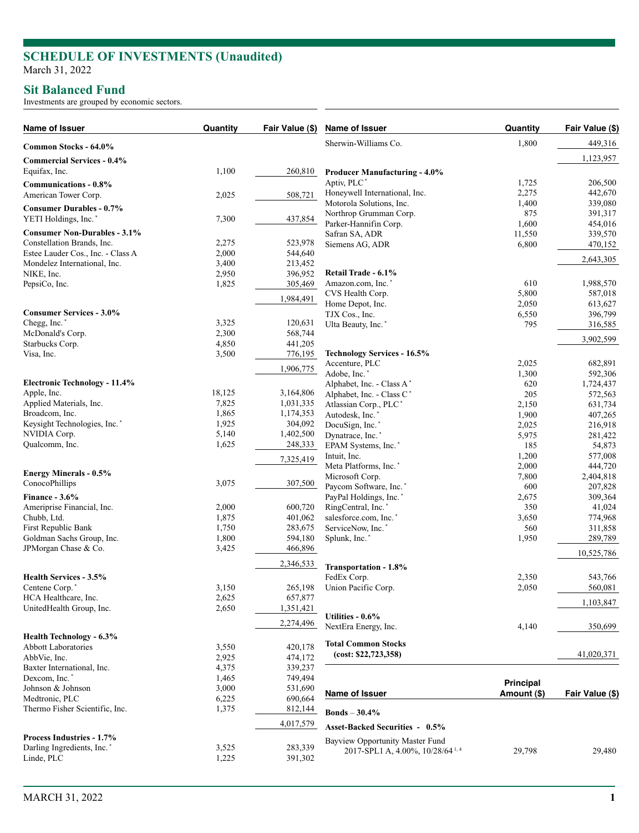### **Sit Balanced Fund**

Investments are grouped by economic sectors.

| Name of Issuer                                                  | Quantity       | Fair Value (\$)      | Name of Issuer                              | Quantity     | Fair Value (\$)   |
|-----------------------------------------------------------------|----------------|----------------------|---------------------------------------------|--------------|-------------------|
| Common Stocks - 64.0%                                           |                |                      | Sherwin-Williams Co.                        | 1,800        | 449,316           |
| <b>Commercial Services - 0.4%</b>                               |                |                      |                                             |              | 1,123,957         |
| Equifax, Inc.                                                   | 1,100          | 260,810              | <b>Producer Manufacturing - 4.0%</b>        |              |                   |
| Communications - 0.8%                                           |                |                      | Aptiv, PLC <sup>*</sup>                     | 1,725        | 206,500           |
| American Tower Corp.                                            | 2,025          | 508,721              | Honeywell International, Inc.               | 2,275        | 442,670           |
| <b>Consumer Durables - 0.7%</b>                                 |                |                      | Motorola Solutions, Inc.                    | 1,400        | 339,080           |
| YETI Holdings, Inc. <sup>*</sup>                                | 7,300          | 437,854              | Northrop Grumman Corp.                      | 875          | 391,317           |
|                                                                 |                |                      | Parker-Hannifin Corp.                       | 1,600        | 454,016           |
| <b>Consumer Non-Durables - 3.1%</b>                             |                | 523,978              | Safran SA, ADR                              | 11,550       | 339,570           |
| Constellation Brands, Inc.<br>Estee Lauder Cos., Inc. - Class A | 2,275<br>2,000 | 544,640              | Siemens AG, ADR                             | 6,800        | 470,152           |
| Mondelez International, Inc.                                    | 3,400          | 213,452              |                                             |              | 2,643,305         |
| NIKE, Inc.                                                      | 2,950          | 396,952              | Retail Trade - 6.1%                         |              |                   |
| PepsiCo, Inc.                                                   | 1,825          | 305,469              | Amazon.com, Inc.                            | 610          | 1,988,570         |
|                                                                 |                |                      | CVS Health Corp.                            | 5,800        | 587,018           |
|                                                                 |                | 1,984,491            | Home Depot, Inc.                            | 2,050        | 613,627           |
| <b>Consumer Services - 3.0%</b>                                 |                |                      | TJX Cos., Inc.                              | 6,550        | 396,799           |
| Chegg, Inc.*                                                    | 3,325          | 120,631              | Ulta Beauty, Inc.*                          | 795          | 316,585           |
| McDonald's Corp.                                                | 2,300          | 568,744              |                                             |              | 3,902,599         |
| Starbucks Corp.                                                 | 4,850          | 441,205              | <b>Technology Services - 16.5%</b>          |              |                   |
| Visa, Inc.                                                      | 3,500          | 776,195              | Accenture, PLC                              | 2,025        | 682,891           |
|                                                                 |                | 1,906,775            | Adobe, Inc.*                                | 1,300        | 592,306           |
| <b>Electronic Technology - 11.4%</b>                            |                |                      | Alphabet, Inc. - Class A*                   | 620          | 1,724,437         |
| Apple, Inc.                                                     | 18,125         | 3,164,806            | Alphabet, Inc. - Class C*                   | 205          | 572,563           |
| Applied Materials, Inc.                                         | 7,825          | 1,031,335            | Atlassian Corp., PLC*                       | 2,150        | 631,734           |
| Broadcom, Inc.                                                  | 1,865          | 1,174,353            | Autodesk, Inc.                              | 1,900        | 407,265           |
| Keysight Technologies, Inc.*                                    | 1,925          | 304,092              | DocuSign, Inc.*                             | 2,025        | 216,918           |
| NVIDIA Corp.                                                    | 5,140          | 1,402,500            | Dynatrace, Inc.*                            | 5,975        | 281,422           |
| Qualcomm, Inc.                                                  | 1,625          | 248,333              | EPAM Systems, Inc. <sup>*</sup>             | 185          | 54,873            |
|                                                                 |                | 7,325,419            | Intuit, Inc.                                | 1,200        | 577,008           |
| <b>Energy Minerals - 0.5%</b>                                   |                |                      | Meta Platforms, Inc.*                       | 2,000        | 444,720           |
| ConocoPhillips                                                  | 3,075          | 307,500              | Microsoft Corp.                             | 7,800        | 2,404,818         |
|                                                                 |                |                      | Paycom Software, Inc. <sup>*</sup>          | 600          | 207,828           |
| Finance - $3.6\%$<br>Ameriprise Financial, Inc.                 | 2,000          | 600,720              | PayPal Holdings, Inc.*                      | 2,675<br>350 | 309,364<br>41,024 |
| Chubb, Ltd.                                                     | 1,875          | 401,062              | RingCentral, Inc.<br>salesforce.com, Inc.*  | 3,650        | 774,968           |
| First Republic Bank                                             | 1,750          | 283,675              | ServiceNow, Inc.'                           | 560          | 311,858           |
| Goldman Sachs Group, Inc.                                       | 1,800          | 594,180              | Splunk, Inc.*                               | 1,950        | 289,789           |
| JPMorgan Chase & Co.                                            | 3,425          | 466,896              |                                             |              |                   |
|                                                                 |                |                      |                                             |              | 10,525,786        |
|                                                                 |                | 2,346,533            | Transportation - 1.8%                       |              |                   |
| <b>Health Services - 3.5%</b>                                   |                |                      | FedEx Corp.                                 | 2,350        | 543,766           |
| Centene Corp.*                                                  | 3,150          | 265,198              | Union Pacific Corp.                         | 2,050        | 560,081           |
| HCA Healthcare, Inc.<br>UnitedHealth Group, Inc.                | 2,625<br>2,650 | 657,877<br>1,351,421 |                                             |              | 1,103,847         |
|                                                                 |                |                      | Utilities - 0.6%                            |              |                   |
|                                                                 |                | 2,274,496            | NextEra Energy, Inc.                        | 4,140        | 350,699           |
| Health Technology - 6.3%                                        |                |                      |                                             |              |                   |
| <b>Abbott Laboratories</b>                                      | 3,550          | 420,178              | <b>Total Common Stocks</b>                  |              |                   |
| AbbVie, Inc.                                                    | 2,925          | 474,172              | (cost: \$22,723,358)                        |              | 41,020,371        |
| Baxter International, Inc.                                      | 4,375          | 339,237              |                                             |              |                   |
| Dexcom, Inc.*                                                   | 1,465          | 749,494              |                                             | Principal    |                   |
| Johnson & Johnson                                               | 3,000          | 531,690              | Name of Issuer                              | Amount (\$)  | Fair Value (\$)   |
| Medtronic, PLC                                                  | 6,225          | 690,664              |                                             |              |                   |
| Thermo Fisher Scientific, Inc.                                  | 1,375          | 812,144              | <b>Bonds</b> – $30.4\%$                     |              |                   |
| <b>Process Industries - 1.7%</b>                                |                | 4,017,579            | <b>Asset-Backed Securities - 0.5%</b>       |              |                   |
| Darling Ingredients, Inc. <sup>*</sup>                          | 3,525          | 283,339              | Bayview Opportunity Master Fund             |              |                   |
| Linde, PLC                                                      | 1,225          | 391,302              | 2017-SPL1 A, 4.00%, 10/28/64 <sup>1,4</sup> | 29,798       | 29,480            |
|                                                                 |                |                      |                                             |              |                   |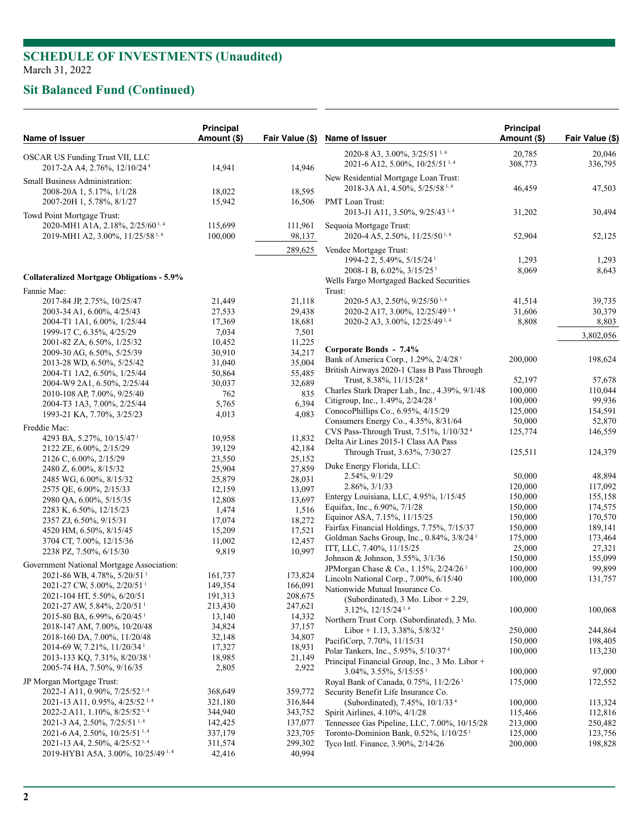# **Sit Balanced Fund (Continued)**

| Name of Issuer                                                                             | <b>Principal</b><br>Amount (\$) | Fair Value (\$)   | Name of Issuer                                                                                                                  | <b>Principal</b><br>Amount (\$) | Fair Value (\$)    |
|--------------------------------------------------------------------------------------------|---------------------------------|-------------------|---------------------------------------------------------------------------------------------------------------------------------|---------------------------------|--------------------|
| OSCAR US Funding Trust VII, LLC<br>2017-2A A4, 2.76%, 12/10/24 <sup>4</sup>                | 14,941                          | 14,946            | 2020-8 A3, 3.00%, 3/25/51 <sup>1,4</sup><br>2021-6 A12, 5.00%, 10/25/51 <sup>1,4</sup>                                          | 20,785<br>308,773               | 20,046<br>336,795  |
| Small Business Administration:<br>2008-20A 1, 5.17%, 1/1/28                                | 18,022                          | 18,595            | New Residential Mortgage Loan Trust:<br>2018-3A A1, 4.50%, 5/25/58 <sup>1,4</sup>                                               | 46,459                          | 47,503             |
| 2007-20H 1, 5.78%, 8/1/27                                                                  | 15,942                          | 16,506            | <b>PMT</b> Loan Trust:<br>2013-J1 A11, 3.50%, 9/25/43 <sup>1,4</sup>                                                            | 31,202                          | 30,494             |
| Towd Point Mortgage Trust:<br>2020-MH1 A1A, 2.18%, 2/25/60 <sup>1,4</sup>                  | 115,699                         | 111,961           | Sequoia Mortgage Trust:                                                                                                         |                                 |                    |
| 2019-MH1 A2, 3.00%, 11/25/58 <sup>1,4</sup>                                                | 100,000                         | 98,137<br>289,625 | 2020-4 A5, 2.50%, 11/25/50 <sup>1,4</sup><br>Vendee Mortgage Trust:                                                             | 52,904                          | 52,125             |
| <b>Collateralized Mortgage Obligations - 5.9%</b>                                          |                                 |                   | 1994-2 2, 5.49%, 5/15/24 <sup>1</sup><br>2008-1 B, $6.02\%$ , $3/15/25$ <sup>1</sup><br>Wells Fargo Mortgaged Backed Securities | 1,293<br>8,069                  | 1,293<br>8,643     |
| Fannie Mae:                                                                                |                                 |                   | Trust:                                                                                                                          |                                 |                    |
| 2017-84 JP, 2.75%, 10/25/47                                                                | 21,449                          | 21,118            | 2020-5 A3, 2.50%, $9/25/50^{1,4}$                                                                                               | 41,514                          | 39,735             |
| 2003-34 A1, 6.00%, 4/25/43                                                                 | 27,533                          | 29,438            | 2020-2 A17, 3.00%, 12/25/49 <sup>1,4</sup>                                                                                      | 31,606                          | 30,379             |
| 2004-T1 1A1, 6.00%, 1/25/44                                                                | 17,369                          | 18,681            | 2020-2 A3, 3.00%, 12/25/49 <sup>1,4</sup>                                                                                       | 8,808                           | 8,803              |
| 1999-17 C, 6.35%, 4/25/29<br>2001-82 ZA, 6.50%, 1/25/32                                    | 7,034<br>10,452                 | 7,501<br>11,225   |                                                                                                                                 |                                 | 3,802,056          |
| 2009-30 AG, 6.50%, 5/25/39                                                                 | 30,910                          | 34,217            | Corporate Bonds - 7.4%                                                                                                          |                                 |                    |
| 2013-28 WD, 6.50%, 5/25/42                                                                 | 31,040                          | 35,004            | Bank of America Corp., 1.29%, 2/4/28 <sup>1</sup>                                                                               | 200,000                         | 198,624            |
| 2004-T1 1A2, 6.50%, 1/25/44                                                                | 50,864                          | 55,485            | British Airways 2020-1 Class B Pass Through                                                                                     |                                 |                    |
| 2004-W9 2A1, 6.50%, 2/25/44                                                                | 30,037                          | 32,689            | Trust, 8.38%, 11/15/28 <sup>4</sup>                                                                                             | 52,197                          | 57,678             |
| 2010-108 AP, 7.00%, 9/25/40                                                                | 762                             | 835               | Charles Stark Draper Lab., Inc., 4.39%, 9/1/48<br>Citigroup, Inc., 1.49%, 2/24/28 <sup>1</sup>                                  | 100,000<br>100,000              | 110,044<br>99,936  |
| 2004-T3 1A3, 7.00%, 2/25/44                                                                | 5,765                           | 6,394             | ConocoPhillips Co., 6.95%, 4/15/29                                                                                              | 125,000                         | 154,591            |
| 1993-21 KA, 7.70%, 3/25/23                                                                 | 4,013                           | 4,083             | Consumers Energy Co., 4.35%, 8/31/64                                                                                            | 50,000                          | 52,870             |
| Freddie Mac:                                                                               |                                 |                   | CVS Pass-Through Trust, 7.51%, 1/10/32 <sup>4</sup>                                                                             | 125,774                         | 146,559            |
| 4293 BA, 5.27%, 10/15/47 <sup>1</sup>                                                      | 10,958                          | 11,832            | Delta Air Lines 2015-1 Class AA Pass                                                                                            |                                 |                    |
| 2122 ZE, 6.00%, 2/15/29                                                                    | 39,129                          | 42,184            | Through Trust, 3.63%, 7/30/27                                                                                                   | 125,511                         | 124,379            |
| 2126 C, 6.00%, 2/15/29                                                                     | 23,550                          | 25,152<br>27,859  | Duke Energy Florida, LLC:                                                                                                       |                                 |                    |
| 2480 Z, 6.00%, 8/15/32<br>2485 WG, 6.00%, 8/15/32                                          | 25,904<br>25,879                | 28,031            | 2.54%, 9/1/29                                                                                                                   | 50,000                          | 48,894             |
| 2575 QE, 6.00%, 2/15/33                                                                    | 12,159                          | 13,097            | $2.86\%, 3/1/33$                                                                                                                | 120,000                         | 117,092            |
| 2980 QA, 6.00%, 5/15/35                                                                    | 12,808                          | 13,697            | Entergy Louisiana, LLC, 4.95%, 1/15/45                                                                                          | 150,000                         | 155,158            |
| 2283 K, 6.50%, 12/15/23                                                                    | 1,474                           | 1,516             | Equifax, Inc., 6.90%, 7/1/28                                                                                                    | 150,000                         | 174,575            |
| 2357 ZJ, 6.50%, 9/15/31                                                                    | 17,074                          | 18,272            | Equinor ASA, 7.15%, 11/15/25                                                                                                    | 150,000                         | 170,570            |
| 4520 HM, 6.50%, 8/15/45                                                                    | 15,209                          | 17,521            | Fairfax Financial Holdings, 7.75%, 7/15/37                                                                                      | 150,000                         | 189,141            |
| 3704 CT, 7.00%, 12/15/36                                                                   | 11,002                          | 12,457            | Goldman Sachs Group, Inc., $0.84\%$ , $3/8/24$ <sup>1</sup><br>ITT, LLC, 7.40%, 11/15/25                                        | 175,000<br>25,000               | 173,464<br>27,321  |
| 2238 PZ, 7.50%, 6/15/30                                                                    | 9,819                           | 10,997            | Johnson & Johnson, 3.55%, 3/1/36                                                                                                | 150,000                         | 155,099            |
| Government National Mortgage Association:                                                  |                                 |                   | JPMorgan Chase & Co., 1.15%, 2/24/26 <sup>1</sup>                                                                               | 100,000                         | 99,899             |
| 2021-86 WB, 4.78%, 5/20/51 <sup>1</sup>                                                    | 161,737                         | 173,824           | Lincoln National Corp., 7.00%, 6/15/40                                                                                          | 100,000                         | 131,757            |
| 2021-27 CW, 5.00%, 2/20/51 <sup>1</sup>                                                    | 149,354                         | 166,091           | Nationwide Mutual Insurance Co.                                                                                                 |                                 |                    |
| 2021-104 HT, 5.50%, 6/20/51                                                                | 191,313                         | 208,675           | (Subordinated), 3 Mo. Libor + 2.29,                                                                                             |                                 |                    |
| 2021-27 AW, 5.84%, 2/20/51 <sup>1</sup><br>2015-80 BA, 6.99%, 6/20/45 <sup>1</sup>         | 213,430<br>13,140               | 247,621<br>14,332 | $3.12\%$ , $12/15/24^{1,4}$                                                                                                     | 100,000                         | 100,068            |
| 2018-147 AM, 7.00%, 10/20/48                                                               | 34,824                          | 37,157            | Northern Trust Corp. (Subordinated), 3 Mo.                                                                                      |                                 |                    |
| 2018-160 DA, 7.00%, 11/20/48                                                               | 32,148                          | 34,807            | Libor + 1.13, 3.38%, $5/8/321$                                                                                                  | 250,000                         | 244,864            |
| 2014-69 W, 7.21%, 11/20/34 <sup>1</sup>                                                    | 17,327                          | 18,931            | PacifiCorp, 7.70%, 11/15/31<br>Polar Tankers, Inc., 5.95%, 5/10/37 <sup>4</sup>                                                 | 150,000<br>100,000              | 198,405<br>113,230 |
| 2013-133 KQ, 7.31%, 8/20/38 <sup>1</sup>                                                   | 18,985                          | 21,149            | Principal Financial Group, Inc., 3 Mo. Libor +                                                                                  |                                 |                    |
| 2005-74 HA, 7.50%, 9/16/35                                                                 | 2,805                           | 2,922             | $3.04\%, 3.55\%, 5/15/551$                                                                                                      | 100,000                         | 97,000             |
| JP Morgan Mortgage Trust:                                                                  |                                 |                   | Royal Bank of Canada, 0.75%, 11/2/26 <sup>1</sup>                                                                               | 175,000                         | 172,552            |
| 2022-1 A11, 0.90%, 7/25/52 <sup>1,4</sup>                                                  | 368,649                         | 359,772           | Security Benefit Life Insurance Co.                                                                                             |                                 |                    |
| $2021 - 13$ A11, 0.95%, 4/25/52 <sup>1,4</sup>                                             | 321,180                         | 316,844           | (Subordinated), 7.45%, 10/1/33 <sup>4</sup>                                                                                     | 100,000                         | 113,324            |
| 2022-2 A11, 1.10%, $8/25/52^{1,4}$                                                         | 344,940                         | 343,752           | Spirit Airlines, 4.10%, 4/1/28                                                                                                  | 115,466                         | 112,816            |
| 2021-3 A4, 2.50%, 7/25/51 <sup>1,4</sup>                                                   | 142,425                         | 137,077           | Tennessee Gas Pipeline, LLC, 7.00%, 10/15/28                                                                                    | 213,000                         | 250,482            |
| $2021-6$ A4, 2.50%, $10/25/51$ <sup>1,4</sup>                                              | 337,179                         | 323,705           | Toronto-Dominion Bank, 0.52%, 1/10/25 <sup>1</sup>                                                                              | 125,000                         | 123,756            |
| 2021-13 A4, 2.50%, 4/25/52 <sup>1,4</sup><br>2019-HYB1 A5A, 3.00%, 10/25/49 <sup>1,4</sup> | 311,574<br>42,416               | 299,302<br>40,994 | Tyco Intl. Finance, 3.90%, 2/14/26                                                                                              | 200,000                         | 198,828            |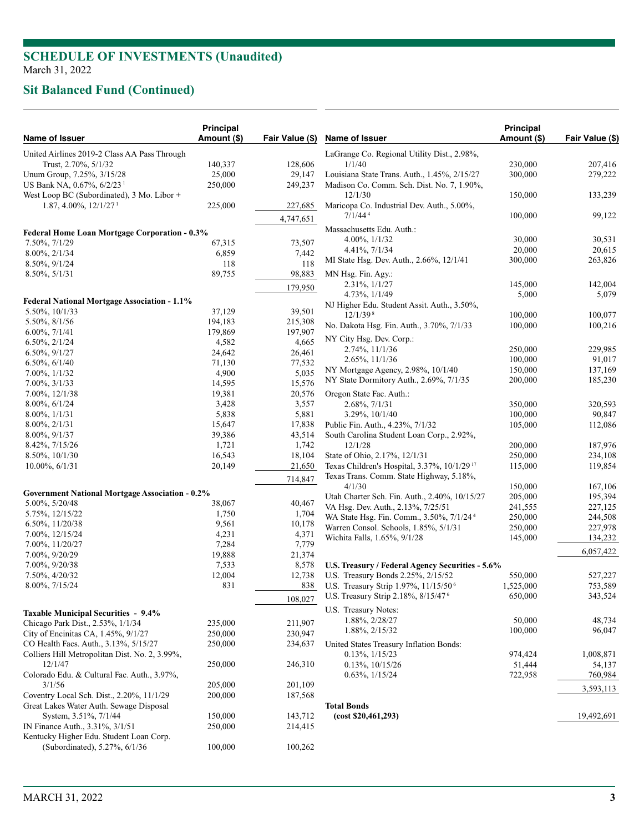# **Sit Balanced Fund (Continued)**

| Name of Issuer                                                                          | <b>Principal</b><br>Amount (\$) | Fair Value (\$) |
|-----------------------------------------------------------------------------------------|---------------------------------|-----------------|
| United Airlines 2019-2 Class AA Pass Through                                            |                                 |                 |
| Trust, 2.70%, 5/1/32                                                                    | 140,337                         | 128,606         |
| Unum Group, 7.25%, 3/15/28                                                              | 25,000                          | 29,147          |
| US Bank NA, 0.67%, 6/2/23 <sup>1</sup>                                                  | 250,000                         | 249,237         |
| West Loop BC (Subordinated), 3 Mo. Libor +                                              |                                 |                 |
| $1.87, 4.00\%$ , $12/1/27$ <sup>1</sup>                                                 | 225,000                         | 227,685         |
|                                                                                         |                                 | 4,747,651       |
| <b>Federal Home Loan Mortgage Corporation - 0.3%</b>                                    |                                 |                 |
| 7.50%, 7/1/29                                                                           | 67,315                          | 73,507          |
| 8.00%, 2/1/34                                                                           | 6,859                           | 7,442           |
| 8.50%, 9/1/24                                                                           | 118                             | 118             |
| $8.50\%, 5/1/31$                                                                        | 89,755                          | 98,883          |
|                                                                                         |                                 | 179,950         |
|                                                                                         |                                 |                 |
| <b>Federal National Mortgage Association - 1.1%</b>                                     | 37,129                          |                 |
| 5.50%, 10/1/33                                                                          |                                 | 39,501          |
| 5.50%, 8/1/56<br>$6.00\%$ , $7/1/41$                                                    | 194,183                         | 215,308         |
|                                                                                         | 179,869                         | 197,907         |
| $6.50\%, 2/1/24$                                                                        | 4,582                           | 4,665           |
| 6.50%, 9/1/27                                                                           | 24,642                          | 26,461          |
| $6.50\%, 6/1/40$                                                                        | 71,130                          | 77,532          |
| 7.00%, 1/1/32                                                                           | 4,900                           | 5,035           |
| 7.00%, 3/1/33                                                                           | 14,595                          | 15,576          |
| 7.00%, 12/1/38                                                                          | 19,381                          | 20,576          |
| 8.00%, 6/1/24                                                                           | 3,428                           | 3,557           |
| $8.00\%, \frac{1}{1/31}$                                                                | 5,838                           | 5,881           |
| 8.00%, 2/1/31                                                                           | 15,647                          | 17,838          |
| 8.00%, 9/1/37                                                                           | 39,386                          | 43,514          |
| 8.42%, 7/15/26                                                                          | 1,721                           | 1,742           |
| 8.50%, 10/1/30                                                                          | 16,543                          | 18,104          |
| $10.00\%, 6/1/31$                                                                       | 20,149                          | 21,650          |
|                                                                                         |                                 | 714,847         |
| <b>Government National Mortgage Association - 0.2%</b>                                  |                                 |                 |
| 5.00%, 5/20/48                                                                          | 38,067                          | 40,467          |
| 5.75%, 12/15/22                                                                         | 1,750                           | 1,704           |
| 6.50%, 11/20/38                                                                         | 9,561                           | 10,178          |
| 7.00%, 12/15/24                                                                         | 4,231                           | 4,371           |
| 7.00%, 11/20/27                                                                         | 7,284                           | 7,779           |
| 7.00%, 9/20/29                                                                          | 19,888                          | 21,374          |
| 7.00%, 9/20/38                                                                          | 7,533                           | 8,578           |
| 7.50%, 4/20/32                                                                          | 12,004                          | 12,738          |
| 8.00%, 7/15/24                                                                          | 831                             | 838             |
|                                                                                         |                                 | 108,027         |
| <b>Taxable Municipal Securities - 9.4%</b>                                              |                                 |                 |
| Chicago Park Dist., 2.53%, 1/1/34                                                       | 235,000                         | 211,907         |
| City of Encinitas CA, 1.45%, 9/1/27                                                     | 250,000                         | 230,947         |
| CO Health Facs. Auth., 3.13%, 5/15/27<br>Colliers Hill Metropolitan Dist. No. 2, 3.99%, | 250,000                         | 234,637         |
| 12/1/47                                                                                 | 250,000                         | 246,310         |
| Colorado Edu. & Cultural Fac. Auth., 3.97%,                                             |                                 |                 |
| 3/1/56                                                                                  | 205,000                         | 201,109         |
| Coventry Local Sch. Dist., 2.20%, 11/1/29                                               | 200,000                         | 187,568         |
| Great Lakes Water Auth. Sewage Disposal                                                 |                                 |                 |
| System, 3.51%, 7/1/44                                                                   | 150,000                         | 143,712         |
| IN Finance Auth., 3.31%, 3/1/51                                                         | 250,000                         | 214,415         |
| Kentucky Higher Edu. Student Loan Corp.                                                 |                                 |                 |
| (Subordinated), 5.27%, 6/1/36                                                           | 100,000                         | 100,262         |
|                                                                                         |                                 |                 |

| <b>Name of Issuer</b>                                                         | Principal<br>Amount (\$) | Fair Value (\$)    |
|-------------------------------------------------------------------------------|--------------------------|--------------------|
| LaGrange Co. Regional Utility Dist., 2.98%,                                   |                          |                    |
| 1/1/40                                                                        | 230,000                  | 207,416            |
| Louisiana State Trans. Auth., 1.45%, 2/15/27                                  | 300,000                  | 279,222            |
| Madison Co. Comm. Sch. Dist. No. 7, 1.90%,<br>12/1/30                         | 150,000                  | 133,239            |
| Maricopa Co. Industrial Dev. Auth., 5.00%,<br>$7/1/44$ <sup>4</sup>           | 100,000                  | 99,122             |
| Massachusetts Edu. Auth.:                                                     |                          |                    |
| 4.00%, 1/1/32                                                                 | 30,000                   | 30,531             |
| 4.41%, 7/1/34                                                                 | 20,000                   | 20,615             |
| MI State Hsg. Dev. Auth., 2.66%, 12/1/41                                      | 300,000                  | 263,826            |
| MN Hsg. Fin. Agy.:                                                            |                          |                    |
| 2.31%, $1/1/27$                                                               | 145,000                  | 142,004            |
| 4.73%, $1/1/49$                                                               | 5,000                    | 5,079              |
| NJ Higher Edu. Student Assit. Auth., 3.50%,                                   |                          |                    |
| $12/1/39$ <sup>8</sup>                                                        | 100,000                  | 100,077            |
| No. Dakota Hsg. Fin. Auth., 3.70%, 7/1/33                                     | 100,000                  | 100,216            |
| NY City Hsg. Dev. Corp.:                                                      |                          |                    |
| 2.74%, 11/1/36                                                                | 250,000                  | 229,985            |
| 2.65%, 11/1/36                                                                | 100,000                  | 91,017             |
| NY Mortgage Agency, 2.98%, 10/1/40<br>NY State Dormitory Auth., 2.69%, 7/1/35 | 150,000<br>200,000       | 137,169<br>185,230 |
|                                                                               |                          |                    |
| Oregon State Fac. Auth.:<br>2.68%, 7/1/31                                     |                          |                    |
| 3.29%, 10/1/40                                                                | 350,000<br>100,000       | 320,593<br>90,847  |
| Public Fin. Auth., 4.23%, 7/1/32                                              | 105,000                  | 112,086            |
| South Carolina Student Loan Corp., 2.92%,                                     |                          |                    |
| 12/1/28                                                                       | 200,000                  | 187,976            |
| State of Ohio, 2.17%, 12/1/31                                                 | 250,000                  | 234,108            |
| Texas Children's Hospital, 3.37%, 10/1/29 <sup>17</sup>                       | 115,000                  | 119,854            |
| Texas Trans. Comm. State Highway, 5.18%,                                      |                          |                    |
| 4/1/30<br>Utah Charter Sch. Fin. Auth., 2.40%, 10/15/27                       | 150,000                  | 167,106<br>195,394 |
| VA Hsg. Dev. Auth., 2.13%, 7/25/51                                            | 205,000<br>241,555       | 227,125            |
| WA State Hsg. Fin. Comm., 3.50%, 7/1/24 <sup>4</sup>                          | 250,000                  | 244,508            |
| Warren Consol. Schools, 1.85%, 5/1/31                                         | 250,000                  | 227,978            |
| Wichita Falls, 1.65%, 9/1/28                                                  | 145,000                  | 134,232            |
|                                                                               |                          | 6,057,422          |
| U.S. Treasury / Federal Agency Securities - 5.6%                              |                          |                    |
| U.S. Treasury Bonds 2.25%, 2/15/52                                            | 550,000                  | 527,227            |
| U.S. Treasury Strip 1.97%, 11/15/50 <sup>6</sup>                              | 1,525,000                | 753,589            |
| U.S. Treasury Strip 2.18%, 8/15/47 <sup>6</sup>                               | 650,000                  | 343,524            |
| U.S. Treasury Notes:                                                          |                          |                    |
| 1.88%, 2/28/27                                                                | 50,000                   | 48,734             |
| 1.88%, 2/15/32                                                                | 100,000                  | 96,047             |
| United States Treasury Inflation Bonds:                                       |                          |                    |
| $0.13\%, 1/15/23$                                                             | 974,424                  | 1,008,871          |
| $0.13\%, 10/15/26$                                                            | 51,444                   | 54,137             |
| $0.63\%, 1/15/24$                                                             | 722,958                  | 760,984            |
|                                                                               |                          | 3,593,113          |
| <b>Total Bonds</b>                                                            |                          |                    |
| (cost \$20,461,293)                                                           |                          | 19,492,691         |
|                                                                               |                          |                    |
|                                                                               |                          |                    |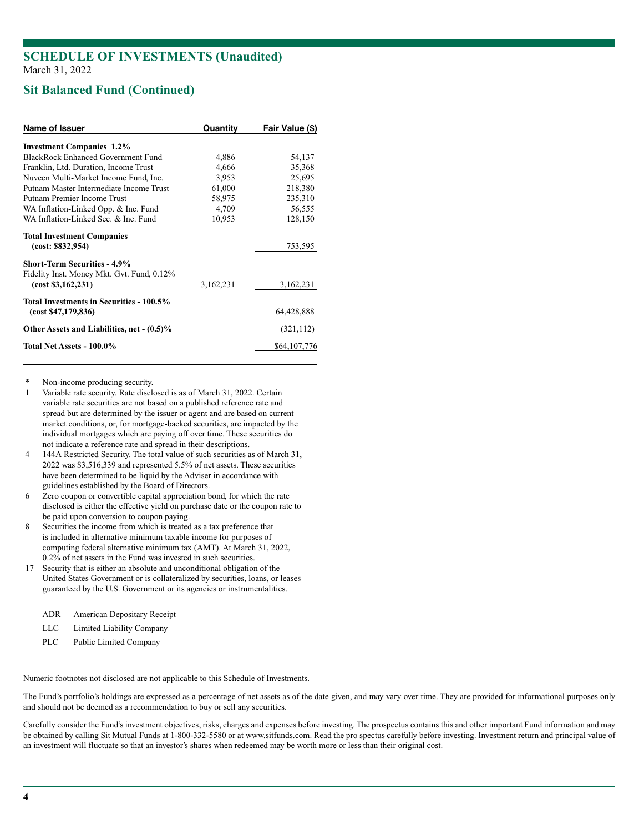## **Sit Balanced Fund (Continued)**

| Name of Issuer                                                   | Quantity  | Fair Value (\$) |
|------------------------------------------------------------------|-----------|-----------------|
| <b>Investment Companies 1.2%</b>                                 |           |                 |
| <b>BlackRock Enhanced Government Fund</b>                        | 4,886     | 54,137          |
| Franklin, Ltd. Duration, Income Trust                            | 4,666     | 35,368          |
| Nuveen Multi-Market Income Fund, Inc.                            | 3,953     | 25,695          |
| Putnam Master Intermediate Income Trust                          | 61,000    | 218,380         |
| Putnam Premier Income Trust                                      | 58,975    | 235,310         |
| WA Inflation-Linked Opp. & Inc. Fund                             | 4,709     | 56,555          |
| WA Inflation-Linked Sec & Inc. Fund                              | 10,953    | 128,150         |
| <b>Total Investment Companies</b><br>(cost: \$832,954)           |           | 753,595         |
| <b>Short-Term Securities - 4.9%</b>                              |           |                 |
| Fidelity Inst. Money Mkt. Gvt. Fund, 0.12%<br>(cost \$3,162,231) | 3,162,231 | 3,162,231       |
| Total Investments in Securities - 100.5%<br>(cost \$47,179,836)  |           | 64,428,888      |
| Other Assets and Liabilities, net - (0.5)%                       |           | (321, 112)      |
| Total Net Assets - 100.0%                                        |           | \$64,107,776    |

Non-income producing security.

- 1 Variable rate security. Rate disclosed is as of March 31, 2022. Certain variable rate securities are not based on a published reference rate and spread but are determined by the issuer or agent and are based on current market conditions, or, for mortgage-backed securities, are impacted by the individual mortgages which are paying off over time. These securities do not indicate a reference rate and spread in their descriptions.
- 4 144A Restricted Security. The total value of such securities as of March 31, 2022 was \$3,516,339 and represented 5.5% of net assets. These securities have been determined to be liquid by the Adviser in accordance with guidelines established by the Board of Directors.
- 6 Zero coupon or convertible capital appreciation bond, for which the rate disclosed is either the effective yield on purchase date or the coupon rate to be paid upon conversion to coupon paying.
- 8 Securities the income from which is treated as a tax preference that is included in alternative minimum taxable income for purposes of computing federal alternative minimum tax (AMT). At March 31, 2022, 0.2% of net assets in the Fund was invested in such securities.
- 17 Security that is either an absolute and unconditional obligation of the United States Government or is collateralized by securities, loans, or leases guaranteed by the U.S. Government or its agencies or instrumentalities.
	- ADR American Depositary Receipt
	- LLC Limited Liability Company
	- PLC Public Limited Company

Numeric footnotes not disclosed are not applicable to this Schedule of Investments.

The Fund's portfolio's holdings are expressed as a percentage of net assets as of the date given, and may vary over time. They are provided for informational purposes only and should not be deemed as a recommendation to buy or sell any securities.

Carefully consider the Fund's investment objectives, risks, charges and expenses before investing. The prospectus contains this and other important Fund information and may be obtained by calling Sit Mutual Funds at 1-800-332-5580 or at www.sitfunds.com. Read the pro spectus carefully before investing. Investment return and principal value of an investment will fluctuate so that an investor's shares when redeemed may be worth more or less than their original cost.